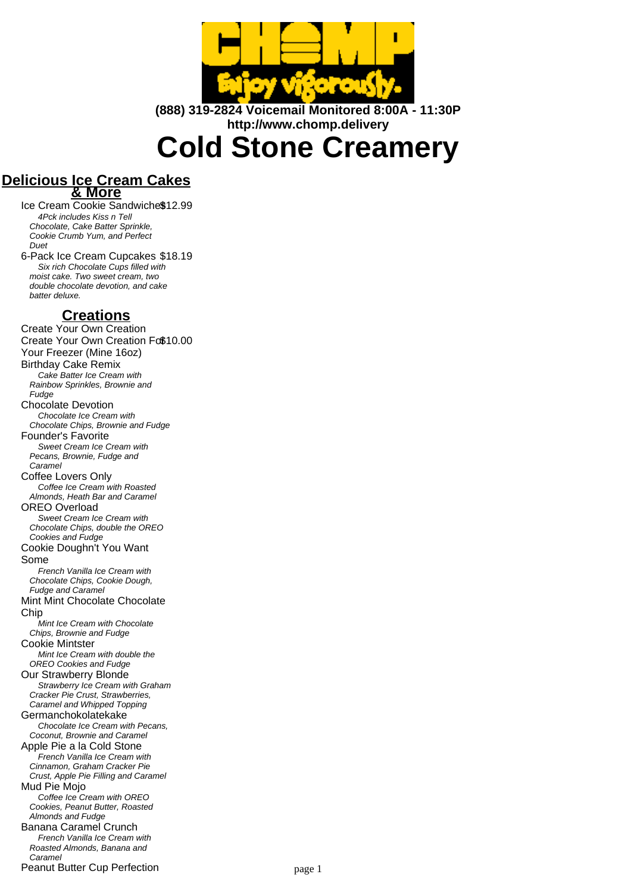

**(888) 319-2824 Voicemail Monitored 8:00A - 11:30P http://www.chomp.delivery**

**Cold Stone Creamery**

## **Delicious Ice Cream Cakes & More**

Ice Cream Cookie Sandwiche\$12.99 4Pck includes Kiss n Tell Chocolate, Cake Batter Sprinkle, Cookie Crumb Yum, and Perfect Duet

6-Pack Ice Cream Cupcakes \$18.19 Six rich Chocolate Cups filled with moist cake. Two sweet cream, two double chocolate devotion, and cake batter deluxe.

## **Creations**

Create Your Own Creation Create Your Own Creation Fo\$10.00 Your Freezer (Mine 16oz) Birthday Cake Remix Cake Batter Ice Cream with Rainbow Sprinkles, Brownie and Fudge Chocolate Devotion Chocolate Ice Cream with Chocolate Chips, Brownie and Fudge Founder's Favorite Sweet Cream Ice Cream with Pecans, Brownie, Fudge and Caramel Coffee Lovers Only Coffee Ice Cream with Roasted Almonds, Heath Bar and Caramel OREO Overload Sweet Cream Ice Cream with Chocolate Chips, double the OREO Cookies and Fudge Cookie Doughn't You Want Some French Vanilla Ice Cream with Chocolate Chips, Cookie Dough, Fudge and Caramel Mint Mint Chocolate Chocolate **Chip** .<br>Mint Ice Cream with Chocolate Chips, Brownie and Fudge Cookie Mintster Mint Ice Cream with double the OREO Cookies and Fudge Our Strawberry Blonde Strawberry Ice Cream with Graham Cracker Pie Crust, Strawberries, Caramel and Whipped Topping Germanchokolatekake Chocolate Ice Cream with Pecans, Coconut, Brownie and Caramel Apple Pie a la Cold Stone French Vanilla Ice Cream with Cinnamon, Graham Cracker Pie Crust, Apple Pie Filling and Caramel Mud Pie Mojo Coffee Ice Cream with OREO Cookies, Peanut Butter, Roasted Almonds and Fudge Banana Caramel Crunch French Vanilla Ice Cream with Roasted Almonds, Banana and Caramel Peanut Butter Cup Perfection **Peanut Butter Cup Perfection** page 1